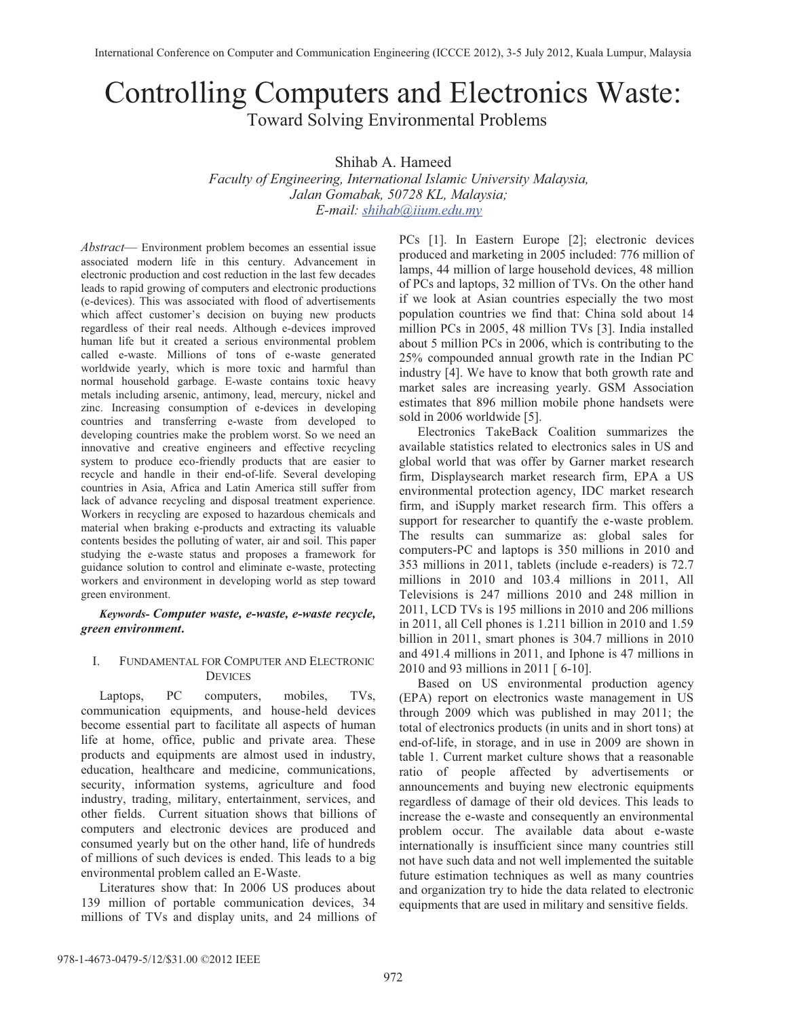# Controlling Computers and Electronics Waste:

Toward Solving Environmental Problems

Shihab A. Hameed

*Faculty of Engineering, International Islamic University Malaysia, Jalan Gomabak, 50728 KL, Malaysia; E-mail: shihab@iium.edu.my*

*Abstract*— Environment problem becomes an essential issue associated modern life in this century. Advancement in electronic production and cost reduction in the last few decades leads to rapid growing of computers and electronic productions (e-devices). This was associated with flood of advertisements which affect customer's decision on buying new products regardless of their real needs. Although e-devices improved human life but it created a serious environmental problem called e-waste. Millions of tons of e-waste generated worldwide yearly, which is more toxic and harmful than normal household garbage. E-waste contains toxic heavy metals including arsenic, antimony, lead, mercury, nickel and zinc. Increasing consumption of e-devices in developing countries and transferring e-waste from developed to developing countries make the problem worst. So we need an innovative and creative engineers and effective recycling system to produce eco-friendly products that are easier to recycle and handle in their end-of-life. Several developing countries in Asia, Africa and Latin America still suffer from lack of advance recycling and disposal treatment experience. Workers in recycling are exposed to hazardous chemicals and material when braking e-products and extracting its valuable contents besides the polluting of water, air and soil. This paper studying the e-waste status and proposes a framework for guidance solution to control and eliminate e-waste, protecting workers and environment in developing world as step toward green environment.

*Keywords- Computer waste, e-waste, e-waste recycle, green environment***.**

### I. FUNDAMENTAL FOR COMPUTER AND ELECTRONIC **DEVICES**

Laptops, PC computers, mobiles, TVs, communication equipments, and house-held devices become essential part to facilitate all aspects of human life at home, office, public and private area. These products and equipments are almost used in industry, education, healthcare and medicine, communications, security, information systems, agriculture and food industry, trading, military, entertainment, services, and other fields. Current situation shows that billions of computers and electronic devices are produced and consumed yearly but on the other hand, life of hundreds of millions of such devices is ended. This leads to a big environmental problem called an E-Waste.

Literatures show that: In 2006 US produces about 139 million of portable communication devices, 34 millions of TVs and display units, and 24 millions of PCs [1]. In Eastern Europe [2]; electronic devices produced and marketing in 2005 included: 776 million of lamps, 44 million of large household devices, 48 million of PCs and laptops, 32 million of TVs. On the other hand if we look at Asian countries especially the two most population countries we find that: China sold about 14 million PCs in 2005, 48 million TVs [3]. India installed about 5 million PCs in 2006, which is contributing to the 25% compounded annual growth rate in the Indian PC industry [4]. We have to know that both growth rate and market sales are increasing yearly. GSM Association estimates that 896 million mobile phone handsets were sold in 2006 worldwide [5].

Electronics TakeBack Coalition summarizes the available statistics related to electronics sales in US and global world that was offer by Garner market research firm, Displaysearch market research firm, EPA a US environmental protection agency, IDC market research firm, and iSupply market research firm. This offers a support for researcher to quantify the e-waste problem. The results can summarize as: global sales for computers-PC and laptops is 350 millions in 2010 and 353 millions in 2011, tablets (include e-readers) is 72.7 millions in 2010 and 103.4 millions in 2011, All Televisions is 247 millions 2010 and 248 million in 2011, LCD TVs is 195 millions in 2010 and 206 millions in 2011, all Cell phones is 1.211 billion in 2010 and 1.59 billion in 2011, smart phones is 304.7 millions in 2010 and 491.4 millions in 2011, and Iphone is 47 millions in 2010 and 93 millions in 2011 [ 6-10].

Based on US environmental production agency (EPA) report on electronics waste management in US through 2009 which was published in may 2011; the total of electronics products (in units and in short tons) at end-of-life, in storage, and in use in 2009 are shown in table 1. Current market culture shows that a reasonable ratio of people affected by advertisements or announcements and buying new electronic equipments regardless of damage of their old devices. This leads to increase the e-waste and consequently an environmental problem occur. The available data about e-waste internationally is insufficient since many countries still not have such data and not well implemented the suitable future estimation techniques as well as many countries and organization try to hide the data related to electronic equipments that are used in military and sensitive fields.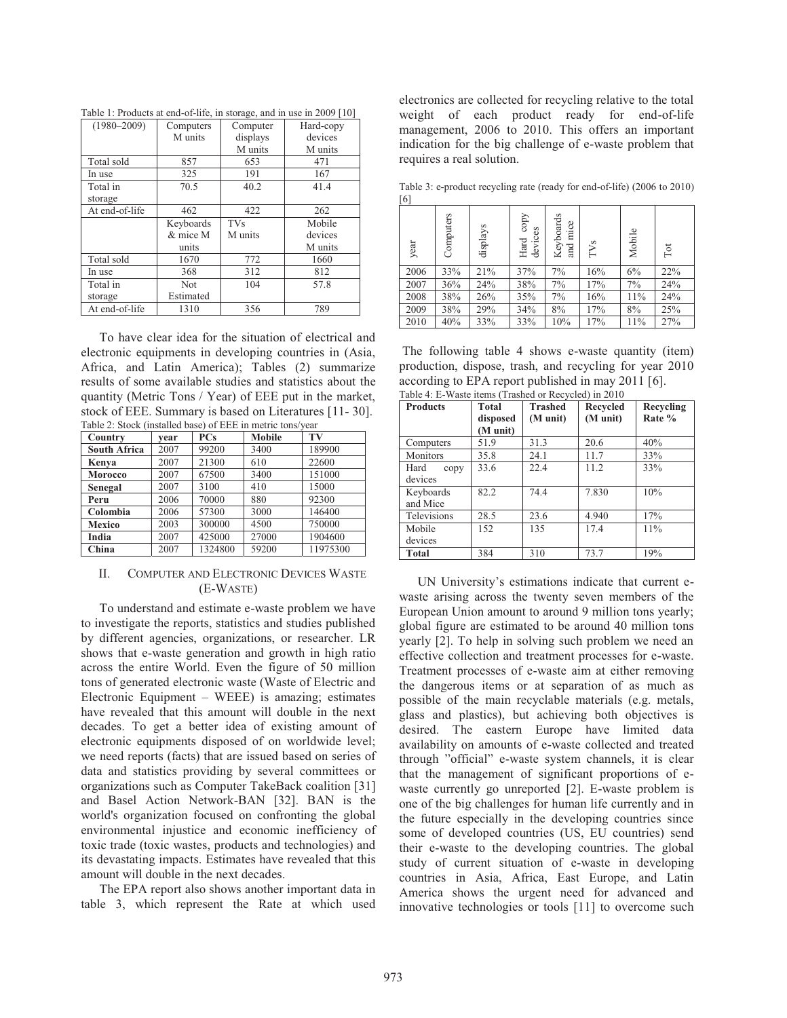| $(1980 - 2009)$ | Computers  | Computer   | Hard-copy |
|-----------------|------------|------------|-----------|
|                 | M units    | displays   | devices   |
|                 |            | M units    | M units   |
| Total sold      | 857        | 653        | 471       |
| In use          | 325        | 191        | 167       |
| Total in        | 70.5       | 40.2       | 41.4      |
| storage         |            |            |           |
| At end-of-life  | 462        | 422        | 262       |
|                 | Keyboards  | <b>TVs</b> | Mobile    |
|                 | & mice M   | M units    | devices   |
|                 | units      |            | M units   |
| Total sold      | 1670       | 772        | 1660      |
| In use          | 368        | 312        | 812       |
| Total in        | <b>Not</b> | 104        | 57.8      |
| storage         | Estimated  |            |           |
| At end-of-life  | 1310       | 356        | 789       |

Table 1: Products at end-of-life, in storage, and in use in 2009 [10]

To have clear idea for the situation of electrical and electronic equipments in developing countries in (Asia, Africa, and Latin America); Tables (2) summarize results of some available studies and statistics about the quantity (Metric Tons / Year) of EEE put in the market, stock of EEE. Summary is based on Literatures [11- 30]. Table 2: Stock (installed base) of EEE in metric tons/year

| Country             | vear | <b>PCs</b> | <b>Mobile</b> | TV       |
|---------------------|------|------------|---------------|----------|
| <b>South Africa</b> | 2007 | 99200      | 3400          | 189900   |
| Kenya               | 2007 | 21300      | 610           | 22600    |
| <b>Morocco</b>      | 2007 | 67500      | 3400          | 151000   |
| Senegal             | 2007 | 3100       | 410           | 15000    |
| Peru                | 2006 | 70000      | 880           | 92300    |
| Colombia            | 2006 | 57300      | 3000          | 146400   |
| <b>Mexico</b>       | 2003 | 300000     | 4500          | 750000   |
| India               | 2007 | 425000     | 27000         | 1904600  |
| China               | 2007 | 1324800    | 59200         | 11975300 |

#### II. COMPUTER AND ELECTRONIC DEVICES WASTE (E-WASTE)

To understand and estimate e-waste problem we have to investigate the reports, statistics and studies published by different agencies, organizations, or researcher. LR shows that e-waste generation and growth in high ratio across the entire World. Even the figure of 50 million tons of generated electronic waste (Waste of Electric and Electronic Equipment – WEEE) is amazing; estimates have revealed that this amount will double in the next decades. To get a better idea of existing amount of electronic equipments disposed of on worldwide level; we need reports (facts) that are issued based on series of data and statistics providing by several committees or organizations such as Computer TakeBack coalition [31] and Basel Action Network-BAN [32]. BAN is the world's organization focused on confronting the global environmental injustice and economic inefficiency of toxic trade (toxic wastes, products and technologies) and its devastating impacts. Estimates have revealed that this amount will double in the next decades.

The EPA report also shows another important data in table 3, which represent the Rate at which used electronics are collected for recycling relative to the total weight of each product ready for end-of-life management, 2006 to 2010. This offers an important indication for the big challenge of e-waste problem that requires a real solution.

Table 3: e-product recycling rate (ready for end-of-life) (2006 to 2010)

| [6]  |           |          |                         |                          |     |        |     |
|------|-----------|----------|-------------------------|--------------------------|-----|--------|-----|
| year | Computers | displays | Cdo2<br>devices<br>Hard | Keyboards<br>mice<br>and | TVs | Mobile | Tot |
| 2006 | 33%       | 21%      | 37%                     | 7%                       | 16% | 6%     | 22% |
| 2007 | 36%       | 24%      | 38%                     | 7%                       | 17% | 7%     | 24% |
| 2008 | 38%       | 26%      | 35%                     | 7%                       | 16% | 11%    | 24% |
| 2009 | 38%       | 29%      | 34%                     | 8%                       | 17% | 8%     | 25% |
| 2010 | 40%       | 33%      | 33%                     | 10%                      | 17% | 11%    | 27% |

 The following table 4 shows e-waste quantity (item) production, dispose, trash, and recycling for year 2010 according to EPA report published in may 2011 [6]. Table 4: E-Waste items (Trashed or Recycled) in 2010

| <b>Products</b>         | Total<br>disposed<br>(M unit) | <b>Trashed</b><br>(M unit) | <b>Recycled</b><br>(M unit) | Recycling<br>Rate % |
|-------------------------|-------------------------------|----------------------------|-----------------------------|---------------------|
| Computers               | 51.9                          | 31.3                       | 20.6                        | 40%                 |
| Monitors                | 35.8                          | 24.1                       | 11.7                        | 33%                 |
| Hard<br>copy<br>devices | 33.6                          | 22.4                       | 11.2                        | 33%                 |
| Keyboards<br>and Mice   | 82.2                          | 74.4                       | 7.830                       | 10%                 |
| Televisions             | 28.5                          | 23.6                       | 4.940                       | 17%                 |
| Mobile<br>devices       | 152                           | 135                        | 17.4                        | 11%                 |
| <b>Total</b>            | 384                           | 310                        | 73.7                        | 19%                 |

UN University's estimations indicate that current ewaste arising across the twenty seven members of the European Union amount to around 9 million tons yearly; global figure are estimated to be around 40 million tons yearly [2]. To help in solving such problem we need an effective collection and treatment processes for e-waste. Treatment processes of e-waste aim at either removing the dangerous items or at separation of as much as possible of the main recyclable materials (e.g. metals, glass and plastics), but achieving both objectives is desired. The eastern Europe have limited data availability on amounts of e-waste collected and treated through "official" e-waste system channels, it is clear that the management of significant proportions of ewaste currently go unreported [2]. E-waste problem is one of the big challenges for human life currently and in the future especially in the developing countries since some of developed countries (US, EU countries) send their e-waste to the developing countries. The global study of current situation of e-waste in developing countries in Asia, Africa, East Europe, and Latin America shows the urgent need for advanced and innovative technologies or tools [11] to overcome such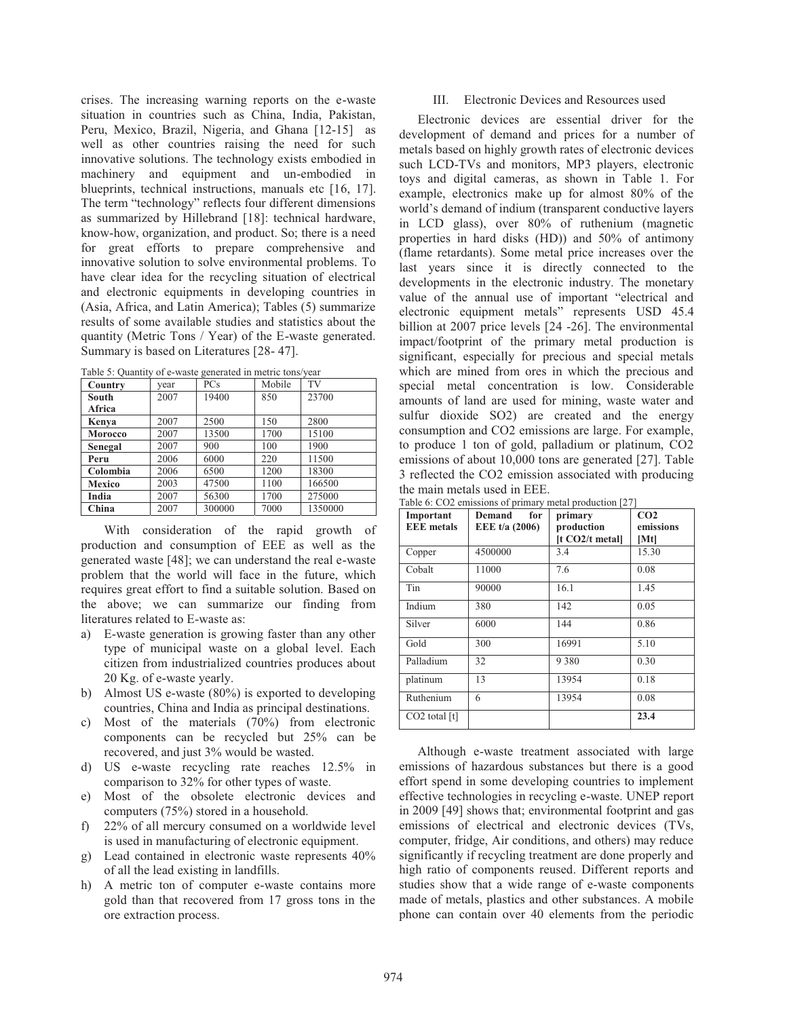crises. The increasing warning reports on the e-waste situation in countries such as China, India, Pakistan, Peru, Mexico, Brazil, Nigeria, and Ghana [12-15] as well as other countries raising the need for such innovative solutions. The technology exists embodied in machinery and equipment and un-embodied in blueprints, technical instructions, manuals etc [16, 17]. The term "technology" reflects four different dimensions as summarized by Hillebrand [18]: technical hardware, know-how, organization, and product. So; there is a need for great efforts to prepare comprehensive and innovative solution to solve environmental problems. To have clear idea for the recycling situation of electrical and electronic equipments in developing countries in (Asia, Africa, and Latin America); Tables (5) summarize results of some available studies and statistics about the quantity (Metric Tons / Year) of the E-waste generated. Summary is based on Literatures [28- 47].

Table 5: Quantity of e-waste generated in metric tons/year

| Country        | vear | <b>PCs</b> | Mobile | TV      |
|----------------|------|------------|--------|---------|
| <b>South</b>   | 2007 | 19400      | 850    | 23700   |
| Africa         |      |            |        |         |
| Kenya          | 2007 | 2500       | 150    | 2800    |
| <b>Morocco</b> | 2007 | 13500      | 1700   | 15100   |
| Senegal        | 2007 | 900        | 100    | 1900    |
| Peru           | 2006 | 6000       | 220    | 11500   |
| Colombia       | 2006 | 6500       | 1200   | 18300   |
| <b>Mexico</b>  | 2003 | 47500      | 1100   | 166500  |
| India          | 2007 | 56300      | 1700   | 275000  |
| China          | 2007 | 300000     | 7000   | 1350000 |

With consideration of the rapid growth of production and consumption of EEE as well as the generated waste [48]; we can understand the real e-waste problem that the world will face in the future, which requires great effort to find a suitable solution. Based on the above; we can summarize our finding from literatures related to E-waste as:

- a) E-waste generation is growing faster than any other type of municipal waste on a global level. Each citizen from industrialized countries produces about 20 Kg. of e-waste yearly.
- b) Almost US e-waste (80%) is exported to developing countries, China and India as principal destinations.
- c) Most of the materials (70%) from electronic components can be recycled but 25% can be recovered, and just 3% would be wasted.
- d) US e-waste recycling rate reaches 12.5% in comparison to 32% for other types of waste.
- e) Most of the obsolete electronic devices and computers (75%) stored in a household.
- f) 22% of all mercury consumed on a worldwide level is used in manufacturing of electronic equipment.
- g) Lead contained in electronic waste represents 40% of all the lead existing in landfills.
- h) A metric ton of computer e-waste contains more gold than that recovered from 17 gross tons in the ore extraction process.

## III. Electronic Devices and Resources used

Electronic devices are essential driver for the development of demand and prices for a number of metals based on highly growth rates of electronic devices such LCD-TVs and monitors, MP3 players, electronic toys and digital cameras, as shown in Table 1. For example, electronics make up for almost 80% of the world's demand of indium (transparent conductive layers in LCD glass), over 80% of ruthenium (magnetic properties in hard disks (HD)) and 50% of antimony (flame retardants). Some metal price increases over the last years since it is directly connected to the developments in the electronic industry. The monetary value of the annual use of important "electrical and electronic equipment metals" represents USD 45.4 billion at 2007 price levels [24 -26]. The environmental impact/footprint of the primary metal production is significant, especially for precious and special metals which are mined from ores in which the precious and special metal concentration is low. Considerable amounts of land are used for mining, waste water and sulfur dioxide SO2) are created and the energy consumption and CO2 emissions are large. For example, to produce 1 ton of gold, palladium or platinum, CO2 emissions of about 10,000 tons are generated [27]. Table 3 reflected the CO2 emission associated with producing the main metals used in EEE.

| Table 6: CO2 emissions of primary metal production [27]<br>CO <sub>2</sub><br>Important<br>Demand<br>for<br>primary |                |                 |           |  |  |
|---------------------------------------------------------------------------------------------------------------------|----------------|-----------------|-----------|--|--|
| <b>EEE</b> metals                                                                                                   | EEE t/a (2006) | production      | emissions |  |  |
|                                                                                                                     |                | It CO2/t metall | [Mt]      |  |  |
| Copper                                                                                                              | 4500000        | 3.4             | 15.30     |  |  |
| Cobalt                                                                                                              | 11000          | 7.6             | 0.08      |  |  |
| Tin                                                                                                                 | 90000          | 16.1            | 1.45      |  |  |
| Indium                                                                                                              | 380            | 142             | 0.05      |  |  |
| Silver                                                                                                              | 6000           | 144             | 0.86      |  |  |
| Gold                                                                                                                | 300            | 16991           | 5.10      |  |  |
| Palladium                                                                                                           | 32             | 9380            | 0.30      |  |  |
| platinum                                                                                                            | 13             | 13954           | 0.18      |  |  |
| Ruthenium                                                                                                           | 6              | 13954           | 0.08      |  |  |
| $CO2$ total [t]                                                                                                     |                |                 | 23.4      |  |  |

Although e-waste treatment associated with large emissions of hazardous substances but there is a good effort spend in some developing countries to implement effective technologies in recycling e-waste. UNEP report in 2009 [49] shows that; environmental footprint and gas emissions of electrical and electronic devices (TVs, computer, fridge, Air conditions, and others) may reduce significantly if recycling treatment are done properly and high ratio of components reused. Different reports and studies show that a wide range of e-waste components made of metals, plastics and other substances. A mobile phone can contain over 40 elements from the periodic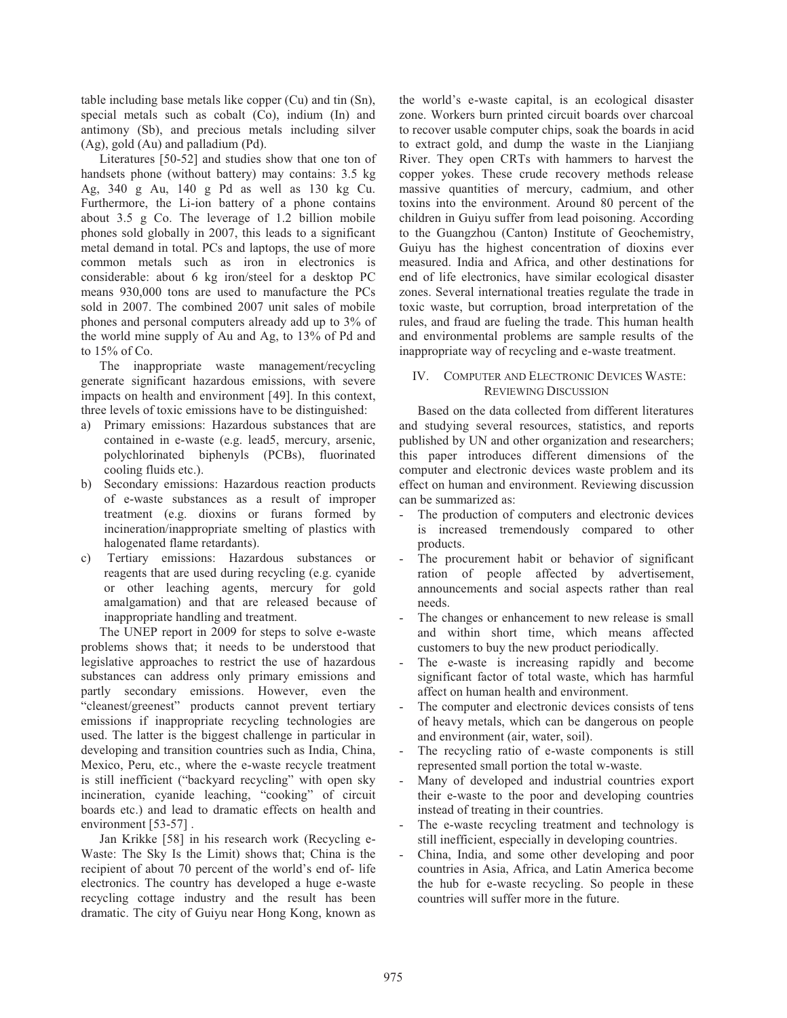table including base metals like copper (Cu) and tin (Sn), special metals such as cobalt (Co), indium (In) and antimony (Sb), and precious metals including silver (Ag), gold (Au) and palladium (Pd).

Literatures [50-52] and studies show that one ton of handsets phone (without battery) may contains: 3.5 kg Ag, 340 g Au, 140 g Pd as well as 130 kg Cu. Furthermore, the Li-ion battery of a phone contains about 3.5 g Co. The leverage of 1.2 billion mobile phones sold globally in 2007, this leads to a significant metal demand in total. PCs and laptops, the use of more common metals such as iron in electronics is considerable: about 6 kg iron/steel for a desktop PC means 930,000 tons are used to manufacture the PCs sold in 2007. The combined 2007 unit sales of mobile phones and personal computers already add up to 3% of the world mine supply of Au and Ag, to 13% of Pd and to 15% of Co.

The inappropriate waste management/recycling generate significant hazardous emissions, with severe impacts on health and environment [49]. In this context, three levels of toxic emissions have to be distinguished:

- a) Primary emissions: Hazardous substances that are contained in e-waste (e.g. lead5, mercury, arsenic, polychlorinated biphenyls (PCBs), fluorinated cooling fluids etc.).
- b) Secondary emissions: Hazardous reaction products of e-waste substances as a result of improper treatment (e.g. dioxins or furans formed by incineration/inappropriate smelting of plastics with halogenated flame retardants).
- c) Tertiary emissions: Hazardous substances or reagents that are used during recycling (e.g. cyanide or other leaching agents, mercury for gold amalgamation) and that are released because of inappropriate handling and treatment.

The UNEP report in 2009 for steps to solve e-waste problems shows that; it needs to be understood that legislative approaches to restrict the use of hazardous substances can address only primary emissions and partly secondary emissions. However, even the "cleanest/greenest" products cannot prevent tertiary emissions if inappropriate recycling technologies are used. The latter is the biggest challenge in particular in developing and transition countries such as India, China, Mexico, Peru, etc., where the e-waste recycle treatment is still inefficient ("backyard recycling" with open sky incineration, cyanide leaching, "cooking" of circuit boards etc.) and lead to dramatic effects on health and environment [53-57] .

Jan Krikke [58] in his research work (Recycling e-Waste: The Sky Is the Limit) shows that; China is the recipient of about 70 percent of the world's end of- life electronics. The country has developed a huge e-waste recycling cottage industry and the result has been dramatic. The city of Guiyu near Hong Kong, known as

the world's e-waste capital, is an ecological disaster zone. Workers burn printed circuit boards over charcoal to recover usable computer chips, soak the boards in acid to extract gold, and dump the waste in the Lianjiang River. They open CRTs with hammers to harvest the copper yokes. These crude recovery methods release massive quantities of mercury, cadmium, and other toxins into the environment. Around 80 percent of the children in Guiyu suffer from lead poisoning. According to the Guangzhou (Canton) Institute of Geochemistry, Guiyu has the highest concentration of dioxins ever measured. India and Africa, and other destinations for end of life electronics, have similar ecological disaster zones. Several international treaties regulate the trade in toxic waste, but corruption, broad interpretation of the rules, and fraud are fueling the trade. This human health and environmental problems are sample results of the inappropriate way of recycling and e-waste treatment.

#### IV. COMPUTER AND ELECTRONIC DEVICES WASTE: REVIEWING DISCUSSION

Based on the data collected from different literatures and studying several resources, statistics, and reports published by UN and other organization and researchers; this paper introduces different dimensions of the computer and electronic devices waste problem and its effect on human and environment. Reviewing discussion can be summarized as:

- The production of computers and electronic devices is increased tremendously compared to other products.
- The procurement habit or behavior of significant ration of people affected by advertisement, announcements and social aspects rather than real needs.
- The changes or enhancement to new release is small and within short time, which means affected customers to buy the new product periodically.
- The e-waste is increasing rapidly and become significant factor of total waste, which has harmful affect on human health and environment.
- The computer and electronic devices consists of tens of heavy metals, which can be dangerous on people and environment (air, water, soil).
- The recycling ratio of e-waste components is still represented small portion the total w-waste.
- Many of developed and industrial countries export their e-waste to the poor and developing countries instead of treating in their countries.
- The e-waste recycling treatment and technology is still inefficient, especially in developing countries.
- China, India, and some other developing and poor countries in Asia, Africa, and Latin America become the hub for e-waste recycling. So people in these countries will suffer more in the future.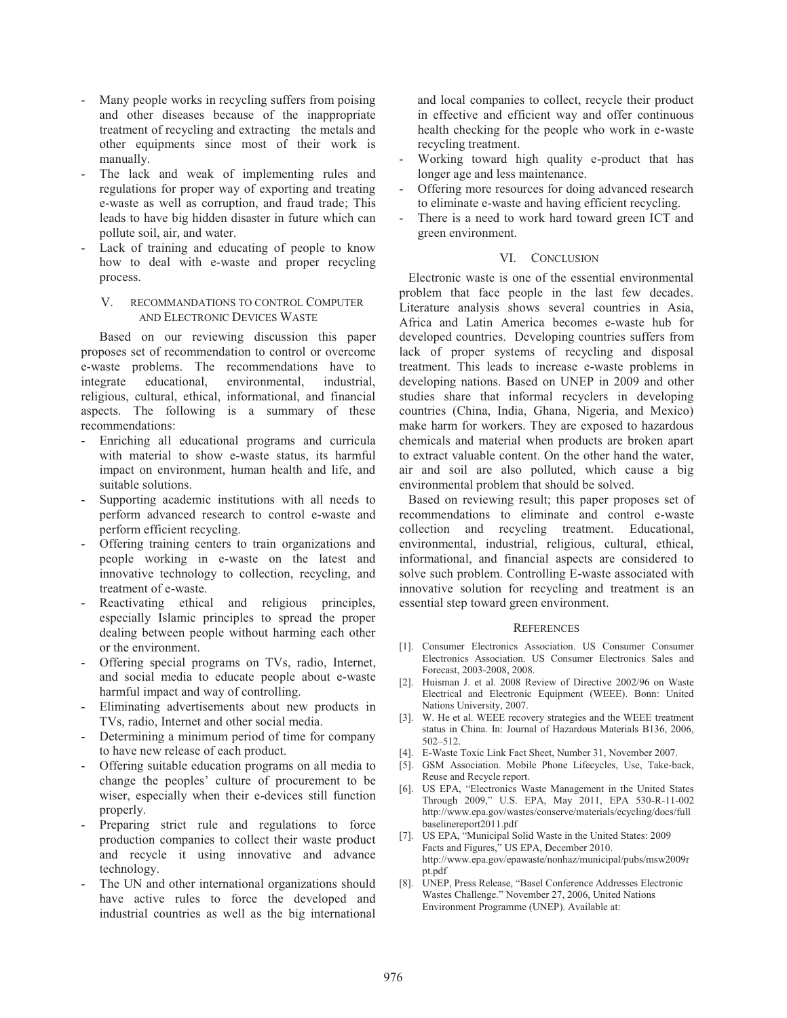- Many people works in recycling suffers from poising and other diseases because of the inappropriate treatment of recycling and extracting the metals and other equipments since most of their work is manually.
- The lack and weak of implementing rules and regulations for proper way of exporting and treating e-waste as well as corruption, and fraud trade; This leads to have big hidden disaster in future which can pollute soil, air, and water.
- Lack of training and educating of people to know how to deal with e-waste and proper recycling process.

### V. RECOMMANDATIONS TO CONTROL COMPUTER AND ELECTRONIC DEVICES WASTE

Based on our reviewing discussion this paper proposes set of recommendation to control or overcome e-waste problems. The recommendations have to integrate educational, environmental, industrial, integrate educational, environmental, religious, cultural, ethical, informational, and financial aspects. The following is a summary of these recommendations:

- Enriching all educational programs and curricula with material to show e-waste status, its harmful impact on environment, human health and life, and suitable solutions.
- Supporting academic institutions with all needs to perform advanced research to control e-waste and perform efficient recycling.
- Offering training centers to train organizations and people working in e-waste on the latest and innovative technology to collection, recycling, and treatment of e-waste.
- Reactivating ethical and religious principles, especially Islamic principles to spread the proper dealing between people without harming each other or the environment.
- Offering special programs on TVs, radio, Internet, and social media to educate people about e-waste harmful impact and way of controlling.
- Eliminating advertisements about new products in TVs, radio, Internet and other social media.
- Determining a minimum period of time for company to have new release of each product.
- Offering suitable education programs on all media to change the peoples' culture of procurement to be wiser, especially when their e-devices still function properly.
- Preparing strict rule and regulations to force production companies to collect their waste product and recycle it using innovative and advance technology.
- The UN and other international organizations should have active rules to force the developed and industrial countries as well as the big international

and local companies to collect, recycle their product in effective and efficient way and offer continuous health checking for the people who work in e-waste recycling treatment.

- Working toward high quality e-product that has longer age and less maintenance.
- Offering more resources for doing advanced research to eliminate e-waste and having efficient recycling.
- There is a need to work hard toward green ICT and green environment.

#### VI. CONCLUSION

Electronic waste is one of the essential environmental problem that face people in the last few decades. Literature analysis shows several countries in Asia, Africa and Latin America becomes e-waste hub for developed countries. Developing countries suffers from lack of proper systems of recycling and disposal treatment. This leads to increase e-waste problems in developing nations. Based on UNEP in 2009 and other studies share that informal recyclers in developing countries (China, India, Ghana, Nigeria, and Mexico) make harm for workers. They are exposed to hazardous chemicals and material when products are broken apart to extract valuable content. On the other hand the water, air and soil are also polluted, which cause a big environmental problem that should be solved.

Based on reviewing result; this paper proposes set of recommendations to eliminate and control e-waste collection and recycling treatment. Educational, environmental, industrial, religious, cultural, ethical, informational, and financial aspects are considered to solve such problem. Controlling E-waste associated with innovative solution for recycling and treatment is an essential step toward green environment.

#### **REFERENCES**

- [1]. Consumer Electronics Association. US Consumer Consumer Electronics Association. US Consumer Electronics Sales and Forecast, 2003-2008, 2008.
- [2]. Huisman J. et al. 2008 Review of Directive 2002/96 on Waste Electrical and Electronic Equipment (WEEE). Bonn: United Nations University, 2007.
- [3]. W. He et al. WEEE recovery strategies and the WEEE treatment status in China. In: Journal of Hazardous Materials B136, 2006, 502–512.
- [4]. E-Waste Toxic Link Fact Sheet, Number 31, November 2007.
- [5]. GSM Association. Mobile Phone Lifecycles, Use, Take-back, Reuse and Recycle report.
- [6]. US EPA, "Electronics Waste Management in the United States Through 2009," U.S. EPA, May 2011, EPA 530-R-11-002 http://www.epa.gov/wastes/conserve/materials/ecycling/docs/full baselinereport2011.pdf
- [7]. US EPA, "Municipal Solid Waste in the United States: 2009 Facts and Figures," US EPA, December 2010. http://www.epa.gov/epawaste/nonhaz/municipal/pubs/msw2009r pt.pdf
- [8]. UNEP, Press Release, "Basel Conference Addresses Electronic Wastes Challenge." November 27, 2006, United Nations Environment Programme (UNEP). Available at: